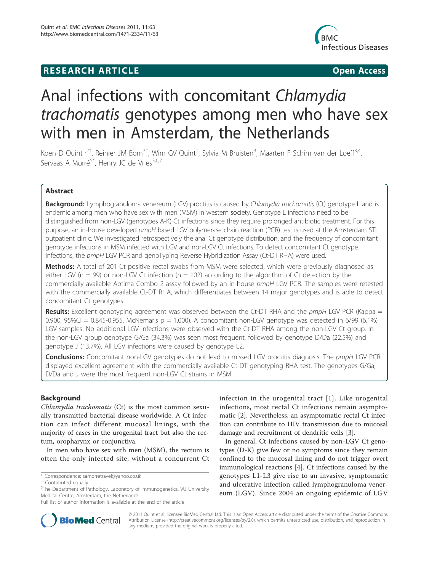## **RESEARCH ARTICLE Example 2018 CONSIDERING ACCESS**



# Anal infections with concomitant Chlamydia trachomatis genotypes among men who have sex with men in Amsterdam, the Netherlands

Koen D Quint<sup>1,2†</sup>, Reinier JM Bom<sup>3†</sup>, Wim GV Quint<sup>1</sup>, Sylvia M Bruisten<sup>3</sup>, Maarten F Schim van der Loeff<sup>3,4</sup>, Servaas A Morré<sup>5\*</sup>, Henry JC de Vries<sup>3,6,7</sup>

## Abstract

**Background:** Lymphogranuloma venereum (LGV) proctitis is caused by Chlamydia trachomatis (Ct) genotype L and is endemic among men who have sex with men (MSM) in western society. Genotype L infections need to be distinguished from non-LGV (genotypes A-K) Ct infections since they require prolonged antibiotic treatment. For this purpose, an in-house developed pmpH based LGV polymerase chain reaction (PCR) test is used at the Amsterdam STI outpatient clinic. We investigated retrospectively the anal Ct genotype distribution, and the frequency of concomitant genotype infections in MSM infected with LGV and non-LGV Ct infections. To detect concomitant Ct genotype infections, the pmpH LGV PCR and genoTyping Reverse Hybridization Assay (Ct-DT RHA) were used.

Methods: A total of 201 Ct positive rectal swabs from MSM were selected, which were previously diagnosed as either LGV ( $n = 99$ ) or non-LGV Ct infection ( $n = 102$ ) according to the algorithm of Ct detection by the commercially available Aptima Combo 2 assay followed by an in-house pmpH LGV PCR. The samples were retested with the commercially available Ct-DT RHA, which differentiates between 14 major genotypes and is able to detect concomitant Ct genotypes.

**Results:** Excellent genotyping agreement was observed between the Ct-DT RHA and the *pmpH* LGV PCR (Kappa = 0.900,  $95\%$ CI = 0.845-0.955, McNemar's p = 1.000). A concomitant non-LGV genotype was detected in 6/99 (6.1%) LGV samples. No additional LGV infections were observed with the Ct-DT RHA among the non-LGV Ct group. In the non-LGV group genotype G/Ga (34.3%) was seen most frequent, followed by genotype D/Da (22.5%) and genotype J (13.7%). All LGV infections were caused by genotype L2.

Conclusions: Concomitant non-LGV genotypes do not lead to missed LGV proctitis diagnosis. The pmpH LGV PCR displayed excellent agreement with the commercially available Ct-DT genotyping RHA test. The genotypes G/Ga, D/Da and J were the most frequent non-LGV Ct strains in MSM.

## Background

Chlamydia trachomatis (Ct) is the most common sexually transmitted bacterial disease worldwide. A Ct infection can infect different mucosal linings, with the majority of cases in the urogenital tract but also the rectum, oropharynx or conjunctiva.

In men who have sex with men (MSM), the rectum is often the only infected site, without a concurrent Ct



In general, Ct infections caused by non-LGV Ct genotypes (D-K) give few or no symptoms since they remain confined to the mucosal lining and do not trigger overt immunological reactions [4]. Ct infections caused by the genotypes L1-L3 give rise to an invasive, symptomatic and ulcerative infection called lymphogranuloma venereum (LGV). Since 2004 an ongoing epidemic of LGV



© 2011 Quint et al; licensee BioMed Central Ltd. This is an Open Access article distributed under the terms of the Creative Commons Attribution License (http://creativecommons.org/licenses/by/2.0), which permits unrestricted use, distribution, and reproduction in any medium, provided the original work is properly cited.

<sup>\*</sup> Correspondence: samorretravel@yahoo.co.uk

<sup>†</sup> Contributed equally <sup>5</sup>

The Department of Pathology, Laboratory of Immunogenetics, VU University Medical Centre, Amsterdam, the Netherlands

Full list of author information is available at the end of the article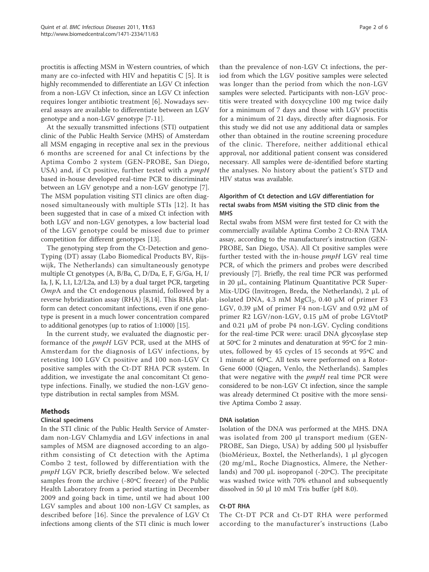proctitis is affecting MSM in Western countries, of which many are co-infected with HIV and hepatitis  $C$  [5]. It is highly recommended to differentiate an LGV Ct infection from a non-LGV Ct infection, since an LGV Ct infection requires longer antibiotic treatment [6]. Nowadays several assays are available to differentiate between an LGV genotype and a non-LGV genotype [7-11].

At the sexually transmitted infections (STI) outpatient clinic of the Public Health Service (MHS) of Amsterdam all MSM engaging in receptive anal sex in the previous 6 months are screened for anal Ct infections by the Aptima Combo 2 system (GEN-PROBE, San Diego, USA) and, if Ct positive, further tested with a *pmpH* based in-house developed real-time PCR to discriminate between an LGV genotype and a non-LGV genotype [7]. The MSM population visiting STI clinics are often diagnosed simultaneously with multiple STIs [12]. It has been suggested that in case of a mixed Ct infection with both LGV and non-LGV genotypes, a low bacterial load of the LGV genotype could be missed due to primer competition for different genotypes [13].

The genotyping step from the Ct-Detection and geno-Typing (DT) assay (Labo Biomedical Products BV, Rijswijk, The Netherlands) can simultaneously genotype multiple Ct genotypes (A, B/Ba, C, D/Da, E, F, G/Ga, H, I/ Ia, J, K, L1, L2/L2a, and L3) by a dual target PCR, targeting OmpA and the Ct endogenous plasmid, followed by a reverse hybridization assay (RHA) [8,14]. This RHA platform can detect concomitant infections, even if one genotype is present in a much lower concentration compared to additional genotypes (up to ratios of 1:1000) [15].

In the current study, we evaluated the diagnostic performance of the pmpH LGV PCR, used at the MHS of Amsterdam for the diagnosis of LGV infections, by retesting 100 LGV Ct positive and 100 non-LGV Ct positive samples with the Ct-DT RHA PCR system. In addition, we investigate the anal concomitant Ct genotype infections. Finally, we studied the non-LGV genotype distribution in rectal samples from MSM.

## Methods

## Clinical specimens

In the STI clinic of the Public Health Service of Amsterdam non-LGV Chlamydia and LGV infections in anal samples of MSM are diagnosed according to an algorithm consisting of Ct detection with the Aptima Combo 2 test, followed by differentiation with the pmpH LGV PCR, briefly described below. We selected samples from the archive (-80ºC freezer) of the Public Health Laboratory from a period starting in December 2009 and going back in time, until we had about 100 LGV samples and about 100 non-LGV Ct samples, as described before [16]. Since the prevalence of LGV Ct infections among clients of the STI clinic is much lower

than the prevalence of non-LGV Ct infections, the period from which the LGV positive samples were selected was longer than the period from which the non-LGV samples were selected. Participants with non-LGV proctitis were treated with doxycycline 100 mg twice daily for a minimum of 7 days and those with LGV proctitis for a minimum of 21 days, directly after diagnosis. For this study we did not use any additional data or samples other than obtained in the routine screening procedure of the clinic. Therefore, neither additional ethical approval, nor additional patient consent was considered necessary. All samples were de-identified before starting the analyses. No history about the patient's STD and HIV status was available.

## Algorithm of Ct detection and LGV differentiation for rectal swabs from MSM visiting the STD clinic from the MHS

Rectal swabs from MSM were first tested for Ct with the commercially available Aptima Combo 2 Ct-RNA TMA assay, according to the manufacturer's instruction (GEN-PROBE, San Diego, USA). All Ct positive samples were further tested with the in-house *pmpH* LGV real time PCR, of which the primers and probes were described previously [7]. Briefly, the real time PCR was performed in 20 μL, containing Platinum Quantitative PCR Super-Mix-UDG (Invitrogen, Breda, the Netherlands), 2 μL of isolated DNA, 4.3 mM  $MgCl<sub>2</sub>$ , 0.40 µM of primer F3 LGV, 0.39 μM of primer F4 non-LGV and 0.92 μM of primer R2 LGV/non-LGV, 0.15 μM of probe LGVtotP and 0.21 μM of probe P4 non-LGV. Cycling conditions for the real-time PCR were: uracil DNA glycosylase step at 50ºC for 2 minutes and denaturation at 95ºC for 2 minutes, followed by 45 cycles of 15 seconds at 95ºC and 1 minute at 60ºC. All tests were performed on a Rotor-Gene 6000 (Qiagen, Venlo, the Netherlands). Samples that were negative with the *pmpH* real time PCR were considered to be non-LGV Ct infection, since the sample was already determined Ct positive with the more sensitive Aptima Combo 2 assay.

## DNA isolation

Isolation of the DNA was performed at the MHS. DNA was isolated from 200 μl transport medium (GEN-PROBE, San Diego, USA) by adding 500 μl lysisbuffer (bioMérieux, Boxtel, the Netherlands), 1 μl glycogen (20 mg/mL, Roche Diagnostics, Almere, the Netherlands) and 700  $\mu$ L isopropanol (-20 $\degree$ C). The precipitate was washed twice with 70% ethanol and subsequently dissolved in 50 μl 10 mM Tris buffer (pH 8.0).

## Ct-DT RHA

The Ct-DT PCR and Ct-DT RHA were performed according to the manufacturer's instructions (Labo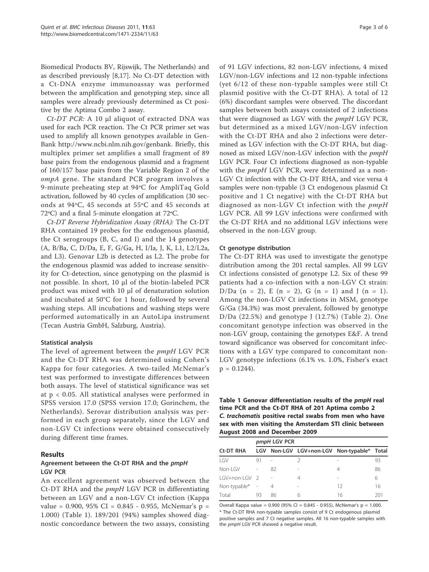Biomedical Products BV, Rijswijk, The Netherlands) and as described previously [8,17]. No Ct-DT detection with a Ct-DNA enzyme immunoassay was performed between the amplification and genotyping step, since all samples were already previously determined as Ct positive by the Aptima Combo 2 assay.

Ct-DT PCR: A 10 μl aliquot of extracted DNA was used for each PCR reaction. The Ct PCR primer set was used to amplify all known genotypes available in Gen-Bank http://www.ncbi.nlm.nih.gov/genbank. Briefly, this multiplex primer set amplifies a small fragment of 89 base pairs from the endogenous plasmid and a fragment of 160/157 base pairs from the Variable Region 2 of the ompA gene. The standard PCR program involves a 9-minute preheating step at 94ºC for AmpliTaq Gold activation, followed by 40 cycles of amplification (30 seconds at 94ºC, 45 seconds at 55ºC and 45 seconds at 72ºC) and a final 5-minute elongation at 72ºC.

Ct-DT Reverse Hybridization Assay (RHA): The Ct-DT RHA contained 19 probes for the endogenous plasmid, the Ct serogroups (B, C, and I) and the 14 genotypes (A, B/Ba, C, D/Da, E, F, G/Ga, H, I/Ia, J, K, L1, L2/L2a, and L3). Genovar L2b is detected as L2. The probe for the endogenous plasmid was added to increase sensitivity for Ct-detection, since genotyping on the plasmid is not possible. In short, 10 μl of the biotin-labeled PCR product was mixed with 10 μl of denaturation solution and incubated at 50°C for 1 hour, followed by several washing steps. All incubations and washing steps were performed automatically in an AutoLipa instrument (Tecan Austria GmbH, Salzburg, Austria).

#### Statistical analysis

The level of agreement between the pmpH LGV PCR and the Ct-DT RHA was determined using Cohen's Kappa for four categories. A two-tailed McNemar's test was performed to investigate differences between both assays. The level of statistical significance was set at p < 0.05. All statistical analyses were performed in SPSS version 17.0 (SPSS version 17.0; Gorinchem, the Netherlands). Serovar distribution analysis was performed in each group separately, since the LGV and non-LGV Ct infections were obtained consecutively during different time frames.

## Results

## Agreement between the Ct-DT RHA and the pmpH LGV PCR

An excellent agreement was observed between the Ct-DT RHA and the pmpH LGV PCR in differentiating between an LGV and a non-LGV Ct infection (Kappa value = 0.900, 95% CI = 0.845 - 0.955, McNemar's  $p =$ 1.000) (Table 1). 189/201 (94%) samples showed diagnostic concordance between the two assays, consisting of 91 LGV infections, 82 non-LGV infections, 4 mixed LGV/non-LGV infections and 12 non-typable infections (yet 6/12 of these non-typable samples were still Ct plasmid positive with the Ct-DT RHA). A total of 12 (6%) discordant samples were observed. The discordant samples between both assays consisted of 2 infections that were diagnosed as LGV with the pmpH LGV PCR, but determined as a mixed LGV/non-LGV infection with the Ct-DT RHA and also 2 infections were determined as LGV infection with the Ct-DT RHA, but diagnosed as mixed LGV/non-LGV infection with the pmpH LGV PCR. Four Ct infections diagnosed as non-typable with the  $pmpH$  LGV PCR, were determined as a non-LGV Ct infection with the Ct-DT RHA, and vice versa 4 samples were non-typable (3 Ct endogenous plasmid Ct positive and 1 Ct negative) with the Ct-DT RHA but diagnosed as non-LGV Ct infection with the pmpH LGV PCR. All 99 LGV infections were confirmed with the Ct-DT RHA and no additional LGV infections were observed in the non-LGV group.

## Ct genotype distribution

The Ct-DT RHA was used to investigate the genotype distribution among the 201 rectal samples. All 99 LGV Ct infections consisted of genotype L2. Six of these 99 patients had a co-infection with a non-LGV Ct strain: D/Da  $(n = 2)$ , E  $(n = 2)$ , G  $(n = 1)$  and J  $(n = 1)$ . Among the non-LGV Ct infections in MSM, genotype G/Ga (34.3%) was most prevalent, followed by genotype D/Da (22.5%) and genotype J (12.7%) (Table 2). One concomitant genotype infection was observed in the non-LGV group, containing the genotypes E&F. A trend toward significance was observed for concomitant infections with a LGV type compared to concomitant non-LGV genotype infections (6.1% vs. 1.0%, Fisher's exact  $p = 0.1244$ .

Table 1 Genovar differentiation results of the pmpH real time PCR and the Ct-DT RHA of 201 Aptima combo 2 C. trachomatis positive rectal swabs from men who have sex with men visiting the Amsterdam STI clinic between August 2008 and December 2009

|                  | pmpH LGV PCR |    |                                            |    |     |  |
|------------------|--------------|----|--------------------------------------------|----|-----|--|
| <b>Ct-DT RHA</b> |              |    | LGV Non-LGV LGV+non-LGV Non-typable* Total |    |     |  |
| IGV              | 91           |    |                                            | -  | 93  |  |
| Non-I GV         |              | 82 | $\overline{\phantom{a}}$                   | 4  | 86  |  |
| LGV+non-LGV 2    |              |    | 4                                          | -  | 6   |  |
| Non-typable* -   |              | 4  | $\overline{\phantom{a}}$                   | 12 | 16  |  |
| Total            | 93           | 86 | 6                                          | 16 | 201 |  |

Overall Kappa value =  $0.900$  (95% CI =  $0.845 - 0.955$ ), McNemar's p = 1.000. \* The Ct-DT RHA non-typable samples consist of 9 Ct endogenous plasmid positive samples and 7 Ct negative samples. All 16 non-typable samples with the pmpH LGV PCR showed a negative result.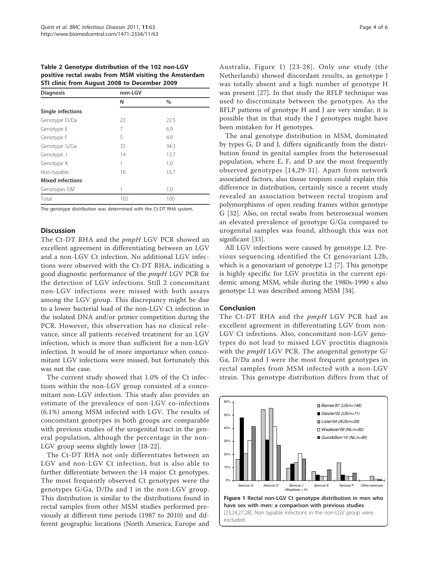Table 2 Genotype distribution of the 102 non-LGV positive rectal swabs from MSM visiting the Amsterdam STI clinic from August 2008 to December 2009

| <b>Diagnosis</b>        | non-LGV |      |
|-------------------------|---------|------|
|                         | N       | $\%$ |
| Single infections       |         |      |
| Genotype D/Da           | 23      | 22.5 |
| Genotype E              | 7       | 6.9  |
| Genotype F              | 5       | 4.9  |
| Genotype G/Ga           | 35      | 34.3 |
| Genotype J              | 14      | 13.7 |
| Genotype K              | 1       | 1.0  |
| Non-typable             | 16      | 15.7 |
| <b>Mixed infections</b> |         |      |
| Genotypes E&F           | 1       | 1.0  |
| Total                   | 102     | 100  |

The genotype distribution was determined with the Ct-DT RHA system.

#### **Discussion**

The Ct-DT RHA and the *pmpH* LGV PCR showed an excellent agreement in differentiating between an LGV and a non-LGV Ct infection. No additional LGV infections were observed with the Ct-DT RHA, indicating a good diagnostic performance of the pmpH LGV PCR for the detection of LGV infections. Still 2 concomitant non-LGV infections were missed with both assays among the LGV group. This discrepancy might be due to a lower bacterial load of the non-LGV Ct infection in the isolated DNA and/or primer competition during the PCR. However, this observation has no clinical relevance, since all patients received treatment for an LGV infection, which is more than sufficient for a non-LGV infection. It would be of more importance when concomitant LGV infections were missed, but fortunately this was not the case.

The current study showed that 1.0% of the Ct infections within the non-LGV group consisted of a concomitant non-LGV infection. This study also provides an estimate of the prevalence of non-LGV co-infections (6.1%) among MSM infected with LGV. The results of concomitant genotypes in both groups are comparable with previous studies of the urogenital tract in the general population, although the percentage in the non-LGV group seems slightly lower [18-22].

The Ct-DT RHA not only differentiates between an LGV and non-LGV Ct infection, but is also able to further differentiate between the 14 major Ct genotypes. The most frequently observed Ct genotypes were the genotypes G/Ga, D/Da and J in the non-LGV group. This distribution is similar to the distributions found in rectal samples from other MSM studies performed previously at different time periods (1987 to 2010) and different geographic locations (North America, Europe and Australia, Figure 1) [23-28]. Only one study (the Netherlands) showed discordant results, as genotype J was totally absent and a high number of genotype H was present [27]. In that study the RFLP technique was used to discriminate between the genotypes. As the RFLP patterns of genotype H and J are very similar, it is possible that in that study the J genotypes might have been mistaken for H genotypes.

The anal genotype distribution in MSM, dominated by types G, D and J, differs significantly from the distribution found in genital samples from the heterosexual population, where E, F, and D are the most frequently observed genotypes [14,29-31]. Apart from network associated factors, also tissue tropism could explain this difference in distribution, certainly since a recent study revealed an association between rectal tropism and polymorphisms of open reading frames within genotype G [32]. Also, on rectal swabs from heterosexual women an elevated prevalence of genotype G/Ga compared to urogenital samples was found, although this was not significant [33].

All LGV infections were caused by genotype L2. Previous sequencing identified the Ct genovariant L2b, which is a genovariant of genotype L2 [7]. This genotype is highly specific for LGV proctitis in the current epidemic among MSM, while during the 1980s-1990 s also genotype L1 was described among MSM [34].

#### Conclusion

The Ct-DT RHA and the pmpH LGV PCR had an excellent agreement in differentiating LGV from non-LGV Ct infections. Also, concomitant non-LGV genotypes do not lead to missed LGV proctitis diagnosis with the *pmpH* LGV PCR. The anogenital genotype G/ Ga, D/Da and J were the most frequent genotypes in rectal samples from MSM infected with a non-LGV strain. This genotype distribution differs from that of

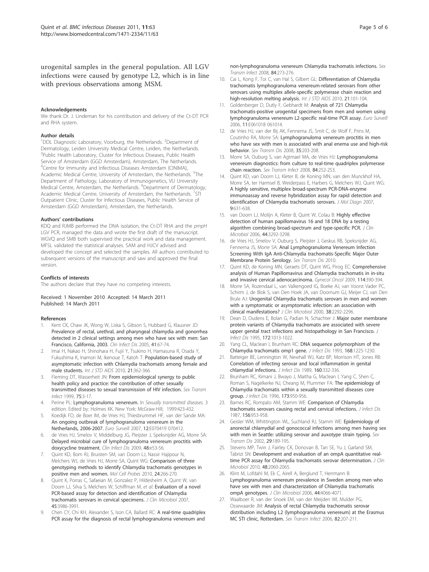urogenital samples in the general population. All LGV infections were caused by genotype L2, which is in line with previous observations among MSM.

#### Acknowledgements

We thank Dr. J. Lindeman for his contribution and delivery of the Ct-DT PCR and RHA system.

#### Author details

<sup>1</sup>DDL Diagnostic Laboratory, Voorburg, the Netherlands. <sup>2</sup>Department of Dermatology, Leiden University Medical Centre, Leiden, the Netherlands. <sup>3</sup>Public Health Laboratory, Cluster for Infectious Diseases, Public Health Service of Amsterdam (GGD Amsterdam), Amsterdam, The Netherlands. <sup>4</sup>Centre for Immunity and Infectious Diseases Amsterdam (CINIMA), Academic Medical Centre, University of Amsterdam, the Netherlands. <sup>5</sup>The Department of Pathology, Laboratory of Immunogenetics, VU University Medical Centre, Amsterdam, the Netherlands. <sup>6</sup>Department of Dermatology, Academic Medical Centre, University of Amsterdam, the Netherlands. <sup>7</sup>STI Outpatient Clinic, Cluster for Infectious Diseases, Public Health Service of Amsterdam (GGD Amsterdam), Amsterdam, the Netherlands.

#### Authors' contributions

KDQ and RJMB performed the DNA isolation, the Ct-DT RHA and the pmpH LGV PCR, managed the data and wrote the first draft of the manuscript. WGVQ and SMB both supervised the practical work and data management. MFSL validated the statistical analyses. SAM and HJCV advised and developed the concept and selected the samples. All authors contributed to subsequent versions of the manuscript and saw and approved the final version.

#### Conflicts of interests

The authors declare that they have no competing interests.

#### Received: 1 November 2010 Accepted: 14 March 2011 Published: 14 March 2011

#### References

- Kent CK, Chaw JK, Wong W, Liska S, Gibson S, Hubbard G, Klausner JD: Prevalence of rectal, urethral, and pharyngeal chlamydia and gonorrhea detected in 2 clinical settings among men who have sex with men: San Francisco, California, 2003. Clin Infect Dis 2005, 41:67-74.
- 2. Imai H, Nakao H, Shinohara H, Fujii Y, Tsukino H, Hamasuna R, Osada Y, Fukushima K, Inamori M, Ikenoue T, Katoh T: Population-based study of asymptomatic infection with Chlamydia trachomatis among female and male students. Int J STD AIDS 2010, 21:362-366.
- Fleming DT, Wasserheit JN: From epidemiological synergy to public health policy and practice: the contribution of other sexually transmitted diseases to sexual transmission of HIV infection. Sex Transm Infect 1999, 75:3-17.
- 4. Perine PL: Lymphogranuloma venereum. In Sexually transmitted diseases. 3 edition. Edited by: Holmes KK. New York: McGraw-Hill; 1999:423-432.
- Koedijk FD, de Boer IM, de Vries HJ, Thiesbrummel HF, van der Sande MA: An ongoing outbreak of lymphogranuloma venereum in the Netherlands, 2006-2007. Euro Surveill 2007, 12:E070419 070412.
- 6. de Vries HJ, Smelov V, Middelburg JG, Pleijster J, Speksnijder AG, Morre SA: Delayed microbial cure of lymphogranuloma venereum proctitis with doxycycline treatment. Clin Infect Dis 2009, 48:e53-56.
- 7. Quint KD, Bom RJ, Bruisten SM, van Doorn LJ, Nassir Hajipour N, Melchers WJ, de Vries HJ, Morre SA, Quint WG: Comparison of three genotyping methods to identify Chlamydia trachomatis genotypes in positive men and women. Mol Cell Probes 2010, 24:266-270.
- Quint K, Porras C, Safaeian M, Gonzalez P, Hildesheim A, Quint W, van Doorn LJ, Silva S, Melchers W, Schiffman M, et al: Evaluation of a novel PCR-based assay for detection and identification of Chlamydia trachomatis serovars in cervical specimens. J Clin Microbiol 2007, 45:3986-3991.
- 9. Chen CY, Chi KH, Alexander S, Ison CA, Ballard RC: A real-time quadriplex PCR assay for the diagnosis of rectal lymphogranuloma venereum and

non-lymphogranuloma venereum Chlamydia trachomatis infections. Sex Transm Infect 2008, 84:273-276.

- 10. Cai L, Kong F, Toi C, van Hal S, Gilbert GL: Differentiation of Chlamydia trachomatis lymphogranuloma venereum-related serovars from other serovars using multiplex allele-specific polymerase chain reaction and high-resolution melting analysis. Int J STD AIDS 2010, 21:101-104.
- 11. Goldenberger D, Dutly F, Gebhardt M: Analysis of 721 Chlamydia trachomatis-positive urogenital specimens from men and women using lymphogranuloma venereum L2-specific real-time PCR assay. Euro Surveill 2006, 11:E061018 061014.
- 12. de Vries HJ, van der Bij AK, Fennema JS, Smit C, de Wolf F, Prins M, Coutinho RA, Morre SA: Lymphogranuloma venereum proctitis in men who have sex with men is associated with anal enema use and high-risk behavior. Sex Transm Dis 2008, 35:203-208.
- 13. Morre SA, Ouburg S, van Agtmael MA, de Vries HJ: Lymphogranuloma venereum diagnostics: from culture to real-time quadriplex polymerase chain reaction. Sex Transm Infect 2008, 84:252-253.
- 14. Quint KD, van Doorn LJ, Kleter B, de Koning MN, van den Munckhof HA, Morre SA, ter Harmsel B, Weiderpass E, Harbers G, Melchers WJ, Quint WG: A highly sensitive, multiplex broad-spectrum PCR-DNA-enzyme immunoassay and reverse hybridization assay for rapid detection and identification of Chlamydia trachomatis serovars. J Mol Diagn 2007, 9:631-638.
- 15. van Doorn LJ, Molijn A, Kleter B, Quint W, Colau B: Highly effective detection of human papillomavirus 16 and 18 DNA by a testing algorithm combining broad-spectrum and type-specific PCR. J Clin Microbiol 2006, 44:3292-3298.
- 16. de Vries HJ, Smelov V, Ouburg S, Pleijster J, Geskus RB, Speksnijder AG, Fennema JS, Morre SA: Anal Lymphogranuloma Venereum Infection Screening With IgA Anti-Chlamydia trachomatis-Specific Major Outer Membrane Protein Serology. Sex Transm Dis 2010.
- 17. Quint KD, de Koning MN, Geraets DT, Quint WG, Pirog EC: Comprehensive analysis of Human Papillomavirus and Chlamydia trachomatis in in-situ and invasive cervical adenocarcinoma. Gynecol Oncol 2009, 114:390-394.
- 18. Morre SA, Rozendaal L, van Valkengoed IG, Boeke AJ, van Voorst Vader PC, Schirm J, de Blok S, van Den Hoek JA, van Doornum GJ, Meijer CJ, van Den Brule AJ: Urogenital Chlamydia trachomatis serovars in men and women with a symptomatic or asymptomatic infection: an association with clinical manifestations? J Clin Microbiol 2000, 38:2292-2296.
- 19. Dean D, Oudens E, Bolan G, Padian N, Schachter J: Major outer membrane protein variants of Chlamydia trachomatis are associated with severe upper genital tract infections and histopathology in San Francisco. J Infect Dis 1995, 172:1013-1022.
- 20. Yang CL, Maclean I, Brunham RC: DNA sequence polymorphism of the Chlamydia trachomatis omp1 gene. J Infect Dis 1993, 168:1225-1230.
- 21. Batteiger BE, Lennington W, Newhall WJ, Katz BP, Morrison HT, Jones RB: Correlation of infecting serovar and local inflammation in genital chlamydial infections. J Infect Dis 1989, 160:332-336.
- 22. Brunham RC, Kimani J, Bwayo J, Maitha G, Maclean I, Yang C, Shen C, Roman S, Nagelkerke NJ, Cheang M, Plummer FA: The epidemiology of Chlamydia trachomatis within a sexually transmitted diseases core group. *J Infect Dis* 1996, 173:950-956.
- Barnes RC, Rompalo AM, Stamm WE: Comparison of Chlamydia trachomatis serovars causing rectal and cervical infections. J Infect Dis 1987, 156:953-958.
- 24. Geisler WM, Whittington WL, Suchland RJ, Stamm WE: Epidemiology of anorectal chlamydial and gonococcal infections among men having sex with men in Seattle: utilizing serovar and auxotype strain typing. Sex Transm Dis 2002, 29:189-195.
- 25. Stevens MP, Twin J, Fairley CK, Donovan B, Tan SE, Yu J, Garland SM, Tabrizi SN: Development and evaluation of an ompA quantitative realtime PCR assay for Chlamydia trachomatis serovar determination. J Clin Microbiol 2010, 48:2060-2065.
- 26. Klint M, Lofdahl M, Ek C, Airell A, Berglund T, Herrmann B: Lymphogranuloma venereum prevalence in Sweden among men who have sex with men and characterization of Chlamydia trachomatis ompA genotypes. J Clin Microbiol 2006, 44:4066-4071.
- 27. Waalboer R, van der Snoek EM, van der Meijden WI, Mulder PG, Ossewaarde JM: Analysis of rectal Chlamydia trachomatis serovar distribution including L2 (lymphogranuloma venereum) at the Erasmus MC STI clinic, Rotterdam. Sex Transm Infect 2006, 82:207-211.